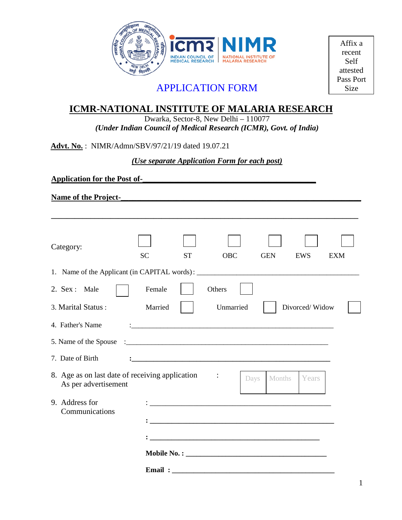

Affix a recent Self attested Pass Port Size

# APPLICATION FORM

# **ICMR-NATIONAL INSTITUTE OF MALARIA RESEARCH**

Dwarka, Sector-8, New Delhi – 110077 *(Under Indian Council of Medical Research (ICMR), Govt. of India)*

**Advt. No.** : NIMR/Admn/SBV/97/21/19 dated 19.07.21

*(Use separate Application Form for each post)*

**\_\_\_\_\_\_\_\_\_\_\_\_\_\_\_\_\_\_\_\_\_\_\_\_\_\_\_\_\_\_\_\_\_\_\_\_\_\_\_\_\_\_\_\_\_\_\_\_\_\_\_\_\_\_\_\_\_\_\_\_\_\_\_\_\_\_\_\_\_\_\_\_\_\_\_\_\_\_**

**Application for the Post of-\_\_\_\_\_\_\_\_\_\_\_\_\_\_\_\_\_\_\_\_\_\_\_\_\_\_\_\_\_\_\_\_\_\_\_\_\_\_\_\_\_\_\_\_**

**Name of the Project-\_\_\_\_\_\_\_\_\_\_\_\_\_\_\_\_\_\_\_\_\_\_\_\_\_\_\_\_\_\_\_\_\_\_\_\_\_\_\_\_\_\_\_\_\_\_\_\_\_\_\_\_\_\_\_\_\_\_\_\_\_**

| Category:                                                                        |           |           |                                                                                                                      |      |            |                |            |
|----------------------------------------------------------------------------------|-----------|-----------|----------------------------------------------------------------------------------------------------------------------|------|------------|----------------|------------|
| 1. Name of the Applicant (in CAPITAL words): ___________________________________ | <b>SC</b> | <b>ST</b> | <b>OBC</b>                                                                                                           |      | <b>GEN</b> | EWS            | <b>EXM</b> |
| 2. Sex : Male                                                                    | Female    |           | Others                                                                                                               |      |            |                |            |
| 3. Marital Status:                                                               | Married   |           | Unmarried                                                                                                            |      |            | Divorced/Widow |            |
| 4. Father's Name                                                                 |           |           |                                                                                                                      |      |            |                |            |
| 5. Name of the Spouse                                                            |           |           |                                                                                                                      |      |            |                |            |
| 7. Date of Birth                                                                 |           |           |                                                                                                                      |      |            |                |            |
| 8. Age as on last date of receiving application<br>As per advertisement          |           |           |                                                                                                                      | Days | Months     | Years          |            |
| 9. Address for<br>Communications                                                 |           |           | <u> 1989 - Johann Stein, mars an de Frankryk († 1958)</u>                                                            |      |            |                |            |
|                                                                                  |           |           |                                                                                                                      |      |            |                |            |
|                                                                                  |           |           |                                                                                                                      |      |            |                |            |
|                                                                                  |           |           |                                                                                                                      |      |            |                |            |
|                                                                                  | Email:    |           | <u> 2000 - Jan James James James James James James James James James James James James James James James James J</u> |      |            |                |            |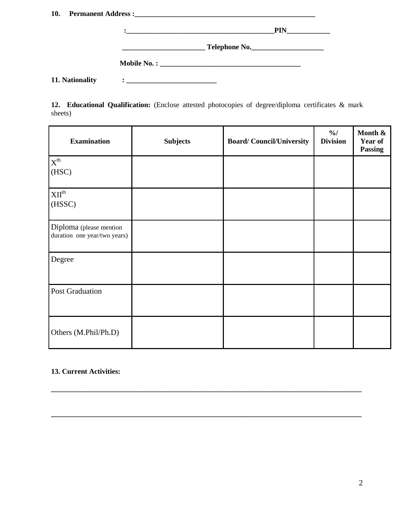| 10. |                 |                                                                                                                                                                                                                                       |  |
|-----|-----------------|---------------------------------------------------------------------------------------------------------------------------------------------------------------------------------------------------------------------------------------|--|
|     |                 | $\ddot{\bullet}$ . The contract of the contract of the contract of the contract of the contract of the contract of the contract of the contract of the contract of the contract of the contract of the contract of the contract of th |  |
|     |                 |                                                                                                                                                                                                                                       |  |
|     |                 |                                                                                                                                                                                                                                       |  |
|     | 11. Nationality |                                                                                                                                                                                                                                       |  |

**12. Educational Qualification:** (Enclose attested photocopies of degree/diploma certificates & mark sheets)

| <b>Examination</b>                                      | <b>Subjects</b> | <b>Board/Council/University</b> | $\frac{9}{6}$<br><b>Division</b> | Month &<br>Year of<br><b>Passing</b> |
|---------------------------------------------------------|-----------------|---------------------------------|----------------------------------|--------------------------------------|
| $\mathbf{X}^\text{th}$<br>(HSC)                         |                 |                                 |                                  |                                      |
| $\bold{XII}^\text{th}$<br>(HSSC)                        |                 |                                 |                                  |                                      |
| Diploma (please mention<br>duration one year/two years) |                 |                                 |                                  |                                      |
| Degree                                                  |                 |                                 |                                  |                                      |
| <b>Post Graduation</b>                                  |                 |                                 |                                  |                                      |
| Others (M.Phil/Ph.D)                                    |                 |                                 |                                  |                                      |

**\_\_\_\_\_\_\_\_\_\_\_\_\_\_\_\_\_\_\_\_\_\_\_\_\_\_\_\_\_\_\_\_\_\_\_\_\_\_\_\_\_\_\_\_\_\_\_\_\_\_\_\_\_\_\_\_\_\_\_\_\_\_\_\_\_\_\_\_\_\_\_\_\_\_\_\_\_\_\_\_\_\_\_\_\_\_**

**\_\_\_\_\_\_\_\_\_\_\_\_\_\_\_\_\_\_\_\_\_\_\_\_\_\_\_\_\_\_\_\_\_\_\_\_\_\_\_\_\_\_\_\_\_\_\_\_\_\_\_\_\_\_\_\_\_\_\_\_\_\_\_\_\_\_\_\_\_\_\_\_\_\_\_\_\_\_\_\_\_\_\_\_\_\_**

## **13. Current Activities:**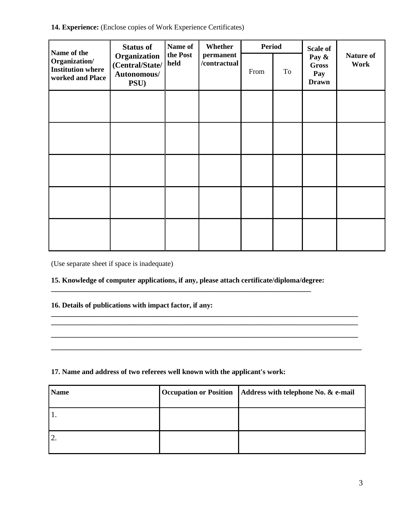14. Experience: (Enclose copies of Work Experience Certificates)

| <b>Status of</b><br>Name of the                               |                                                        | Name of                                       | Whether | <b>Period</b> |    | Scale of                                     |                   |
|---------------------------------------------------------------|--------------------------------------------------------|-----------------------------------------------|---------|---------------|----|----------------------------------------------|-------------------|
| Organization/<br><b>Institution where</b><br>worked and Place | Organization<br>(Central/State/<br>Autonomous/<br>PSU) | the Post<br>permanent<br>/contractual<br>held |         | From          | To | Pay &<br><b>Gross</b><br>Pay<br><b>Drawn</b> | Nature of<br>Work |
|                                                               |                                                        |                                               |         |               |    |                                              |                   |
|                                                               |                                                        |                                               |         |               |    |                                              |                   |
|                                                               |                                                        |                                               |         |               |    |                                              |                   |
|                                                               |                                                        |                                               |         |               |    |                                              |                   |
|                                                               |                                                        |                                               |         |               |    |                                              |                   |

(Use separate sheet if space is inadequate)

# **15. Knowledge of computer applications, if any, please attach certificate/diploma/degree:**

**\_\_\_\_\_\_\_\_\_\_\_\_\_\_\_\_\_\_\_\_\_\_\_\_\_\_\_\_\_\_\_\_\_\_\_\_\_\_\_\_\_\_\_\_\_\_\_\_\_\_\_\_\_\_\_\_\_\_\_\_\_\_\_\_\_\_\_\_\_\_\_\_\_\_\_\_\_\_\_\_\_\_\_\_\_ \_\_\_\_\_\_\_\_\_\_\_\_\_\_\_\_\_\_\_\_\_\_\_\_\_\_\_\_\_\_\_\_\_\_\_\_\_\_\_\_\_\_\_\_\_\_\_\_\_\_\_\_\_\_\_\_\_\_\_\_\_\_\_\_\_\_\_\_\_\_\_\_\_\_\_\_\_\_\_\_\_\_\_\_\_ \_\_\_\_\_\_\_\_\_\_\_\_\_\_\_\_\_\_\_\_\_\_\_\_\_\_\_\_\_\_\_\_\_\_\_\_\_\_\_\_\_\_\_\_\_\_\_\_\_\_\_\_\_\_\_\_\_\_\_\_\_\_\_\_\_\_\_\_\_\_\_\_\_\_\_\_\_\_\_\_\_\_\_\_\_ \_\_\_\_\_\_\_\_\_\_\_\_\_\_\_\_\_\_\_\_\_\_\_\_\_\_\_\_\_\_\_\_\_\_\_\_\_\_\_\_\_\_\_\_\_\_\_\_\_\_\_\_\_\_\_\_\_\_\_\_\_\_\_\_\_\_\_\_\_\_\_\_\_\_\_\_\_\_\_\_\_\_\_\_\_\_**

**\_\_\_\_\_\_\_\_\_\_\_\_\_\_\_\_\_\_\_\_\_\_\_\_\_\_\_\_\_\_\_\_\_\_\_\_\_\_\_\_\_\_\_\_\_\_\_\_\_\_\_\_\_\_\_\_\_\_\_\_\_\_\_\_\_\_\_\_\_\_\_\_**

## **16. Details of publications with impact factor, if any:**

#### **17. Name and address of two referees well known with the applicant's work:**

| <b>Name</b>         | <b>Occupation or Position</b> | Address with telephone No. & e-mail |
|---------------------|-------------------------------|-------------------------------------|
|                     |                               |                                     |
| $\mathcal{D}$<br>٠. |                               |                                     |